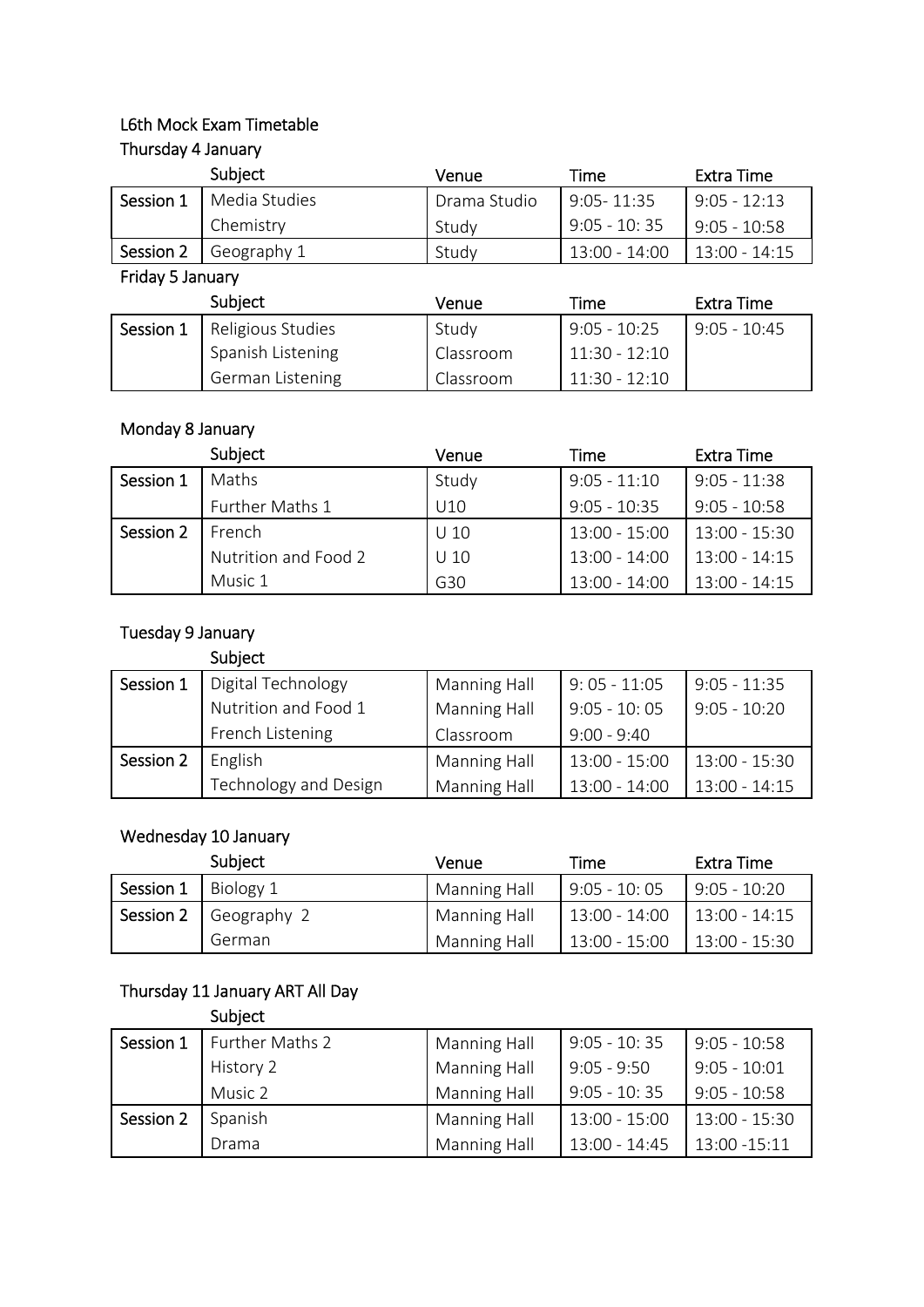### L6th Mock Exam Timetable Thursday 4 January

|           | Subject       | Venue        | Time            | Extra Time      |
|-----------|---------------|--------------|-----------------|-----------------|
| Session 1 | Media Studies | Drama Studio | $9:05 - 11:35$  | $9:05 - 12:13$  |
|           | Chemistry     | Study        | $9:05 - 10:35$  | $9:05 - 10:58$  |
| Session 2 | Geography 1   | Study        | $13:00 - 14:00$ | $13:00 - 14:15$ |

Friday 5 January

|           | Subject                 | Venue     | Time            | Extra Time     |
|-----------|-------------------------|-----------|-----------------|----------------|
| Session 1 | Religious Studies       | Study     | $9:05 - 10:25$  | $9:05 - 10:45$ |
|           | Spanish Listening       | Classroom | 11:30 - 12:10   |                |
|           | <b>German Listening</b> | Classroom | $11:30 - 12:10$ |                |

### Monday 8 January

|           | Subject              | Venue           | Time            | Extra Time      |
|-----------|----------------------|-----------------|-----------------|-----------------|
| Session 1 | Maths                | Study           | $9:05 - 11:10$  | $9:05 - 11:38$  |
|           | Further Maths 1      | U10             | $9:05 - 10:35$  | $9:05 - 10:58$  |
| Session 2 | French               | U <sub>10</sub> | $13:00 - 15:00$ | $13:00 - 15:30$ |
|           | Nutrition and Food 2 | U <sub>10</sub> | 13:00 - 14:00   | 13:00 - 14:15   |
|           | Music 1              | G30             | $13:00 - 14:00$ | $13:00 - 14:15$ |

## Tuesday 9 January

#### Subject

| Session 1 | Digital Technology    | Manning Hall | $9:05 - 11:05$  | $9:05 - 11:35$  |
|-----------|-----------------------|--------------|-----------------|-----------------|
|           | Nutrition and Food 1  | Manning Hall | $9:05 - 10:05$  | $9:05 - 10:20$  |
|           | French Listening      | Classroom    | $9:00 - 9:40$   |                 |
| Session 2 | English               | Manning Hall | 13:00 - 15:00   | 13:00 - 15:30   |
|           | Technology and Design | Manning Hall | $13:00 - 14:00$ | $13:00 - 14:15$ |

#### Wednesday 10 January

|           | Subject     | Venue               | Time            | Extra Time      |
|-----------|-------------|---------------------|-----------------|-----------------|
| Session 1 | Biology 1   | Manning Hall        | $9:05 - 10:05$  | $9:05 - 10:20$  |
| Session 2 | Geography 2 | Manning Hall        | 13:00 - 14:00   | $13:00 - 14:15$ |
|           | German      | <b>Manning Hall</b> | $13:00 - 15:00$ | $13:00 - 15:30$ |

### Thursday 11 January ART All Day

Subject

| Session 1 | Further Maths 2 | Manning Hall | $9:05 - 10:35$  | $9:05 - 10:58$  |
|-----------|-----------------|--------------|-----------------|-----------------|
|           | History 2       | Manning Hall | $9:05 - 9:50$   | $9:05 - 10:01$  |
|           | Music 2         | Manning Hall | $9:05 - 10:35$  | $9:05 - 10:58$  |
| Session 2 | Spanish         | Manning Hall | 13:00 - 15:00   | 13:00 - 15:30   |
|           | Drama           | Manning Hall | $13:00 - 14:45$ | $13:00 - 15:11$ |